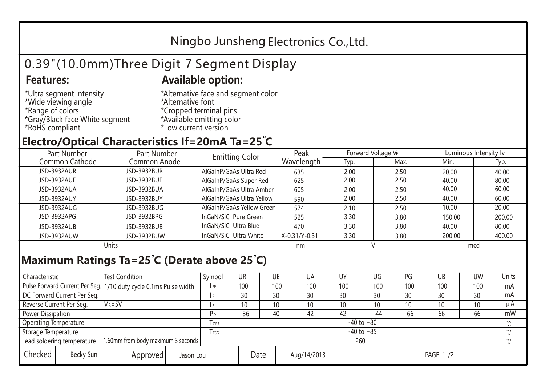## Ningbo Junsheng Electronics Co.,Ltd.

# 0.39"(10.0mm)Three Digit 7 Segment Display

### **Features: Available option:**

- \*Ultra segment intensity \*Wide viewing angle \*Range of colors \*Gray/Black face White segment \*RoHS compliant
- \*Alternative face and segment color \*Alternative font \*Cropped terminal pins \*Available emitting color \*Low current version

### **Electro/Optical Characteristics If=20mA Ta=25 C**

| Part Number<br>Part Number |              | <b>Emitting Color</b>     | Peak          | Forward Voltage VF |      | Luminous Intensity Iv |        |  |
|----------------------------|--------------|---------------------------|---------------|--------------------|------|-----------------------|--------|--|
| Common Cathode             | Common Anode |                           | Wavelength    | Typ.               | Max. | Min.                  | Typ.   |  |
| <b>JSD-3932AUR</b>         | JSD-3932BUR  | AlGaInP/GaAs Ultra Red    | 635           | 2.00               | 2.50 | 20.00                 | 40.00  |  |
| JSD-3932AUE                | JSD-3932BUE  | AlGaInP/GaAs Super Red    | 625           | 2.00               | 2.50 | 40.00                 | 80.00  |  |
| JSD-3932AUA                | JSD-3932BUA  | AlGaInP/GaAs Ultra Amber  | 605           | 2.00               | 2.50 | 40.00                 | 60.00  |  |
| JSD-3932AUY                | JSD-3932BUY  | AlGaInP/GaAs Ultra Yellow | 590           | 2.00               | 2.50 | 40.00                 | 60.00  |  |
| JSD-3932AUG                | JSD-3932BUG  | AlGaInP/GaAs Yellow Green | 574           | 2.10               | 2.50 | 10.00                 | 20.00  |  |
| JSD-3932APG                | JSD-3932BPG  | InGaN/SiC Pure Green      | 525           | 3.30               | 3.80 | 150.00                | 200.00 |  |
| JSD-3932AUB                | JSD-3932BUB  | InGaN/SiC Ultra Blue      | 470           | 3.30               | 3.80 | 40.00                 | 80.00  |  |
| JSD-3932AUW                | JSD-3932BUW  | InGaN/SiC Ultra White     | X-0.31/Y-0.31 | 3.30               | 3.80 | 200.00                | 400.00 |  |
| Units                      |              |                           | nm            |                    |      | mcd                   |        |  |

### **Maximum Ratings Ta=25°C (Derate above 25°C)**

| Characteristic                                                   |                                                                  | <b>Test Condition</b> |            |                | Symbol | <b>UR</b>           |     | UE  | UA  | UY       | UG  | PG  | UB           | <b>UW</b> | Units |
|------------------------------------------------------------------|------------------------------------------------------------------|-----------------------|------------|----------------|--------|---------------------|-----|-----|-----|----------|-----|-----|--------------|-----------|-------|
|                                                                  | Pulse Forward Current Per Seg. 1/10 duty cycle 0.1ms Pulse width |                       |            | F <sub>P</sub> | 100    |                     | 100 | 100 | 100 | 100      | 100 | 100 | 100          | mA        |       |
|                                                                  | DC Forward Current Per Seg.                                      |                       |            |                | f F    | 30                  |     | 30  | 30  | 30       | 30  | 30  | 30           | 30        | mA    |
| Reverse Current Per Seg.                                         |                                                                  | $V_R = 5V$            |            |                | I R    | 10 <sup>°</sup>     |     | 10  | 10  | 10       | 10  | 10  | 10           | 10        | μ $A$ |
| Power Dissipation                                                |                                                                  |                       |            | P <sub>D</sub> | 36     |                     | 40  | 42  | 42  | 44       | 66  | 66  | 66           | mW        |       |
| <b>Operating Temperature</b>                                     |                                                                  |                       | <b>OPR</b> | $-40$ to $+80$ |        |                     |     |     |     |          |     |     | $\gamma$     |           |       |
| Storage Temperature                                              |                                                                  |                       | l tsg      | $-40$ to $+85$ |        |                     |     |     |     |          |     |     | $^{\circ}$ C |           |       |
| 1.60mm from body maximum 3 seconds<br>Lead soldering temperature |                                                                  |                       |            | 260            |        |                     |     |     |     |          |     |     | $\gamma$     |           |       |
| Checked                                                          | Becky Sun                                                        | Approved<br>Jason Lou |            |                |        | Date<br>Aug/14/2013 |     |     |     | PAGE 1/2 |     |     |              |           |       |